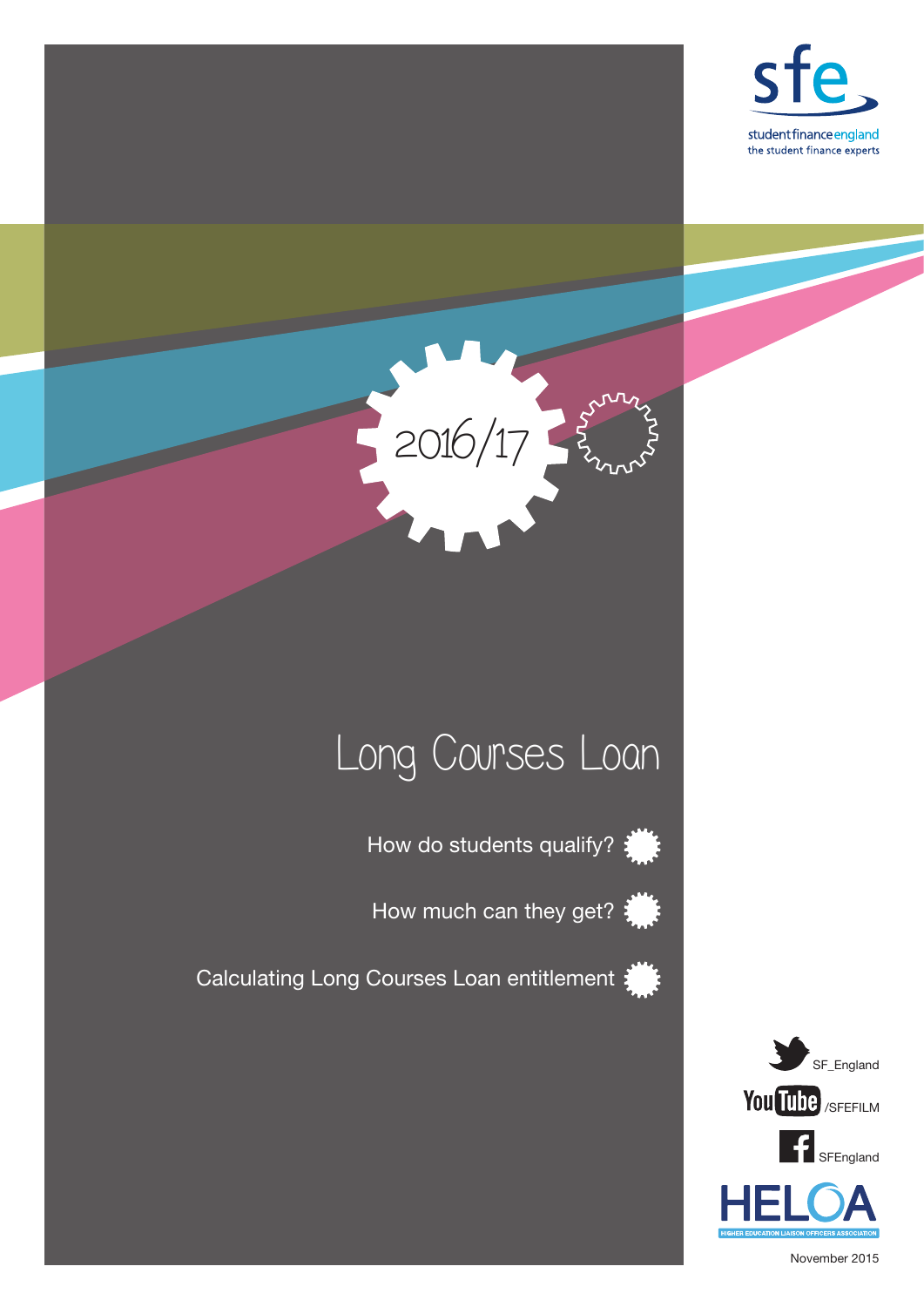



# Long Courses Loan

How do students qualify?  $\frac{1}{2}$ 

How much can they get?  $\frac{1}{2}$ 

Calculating Long Courses Loan entitlement





November 2015

SFEngland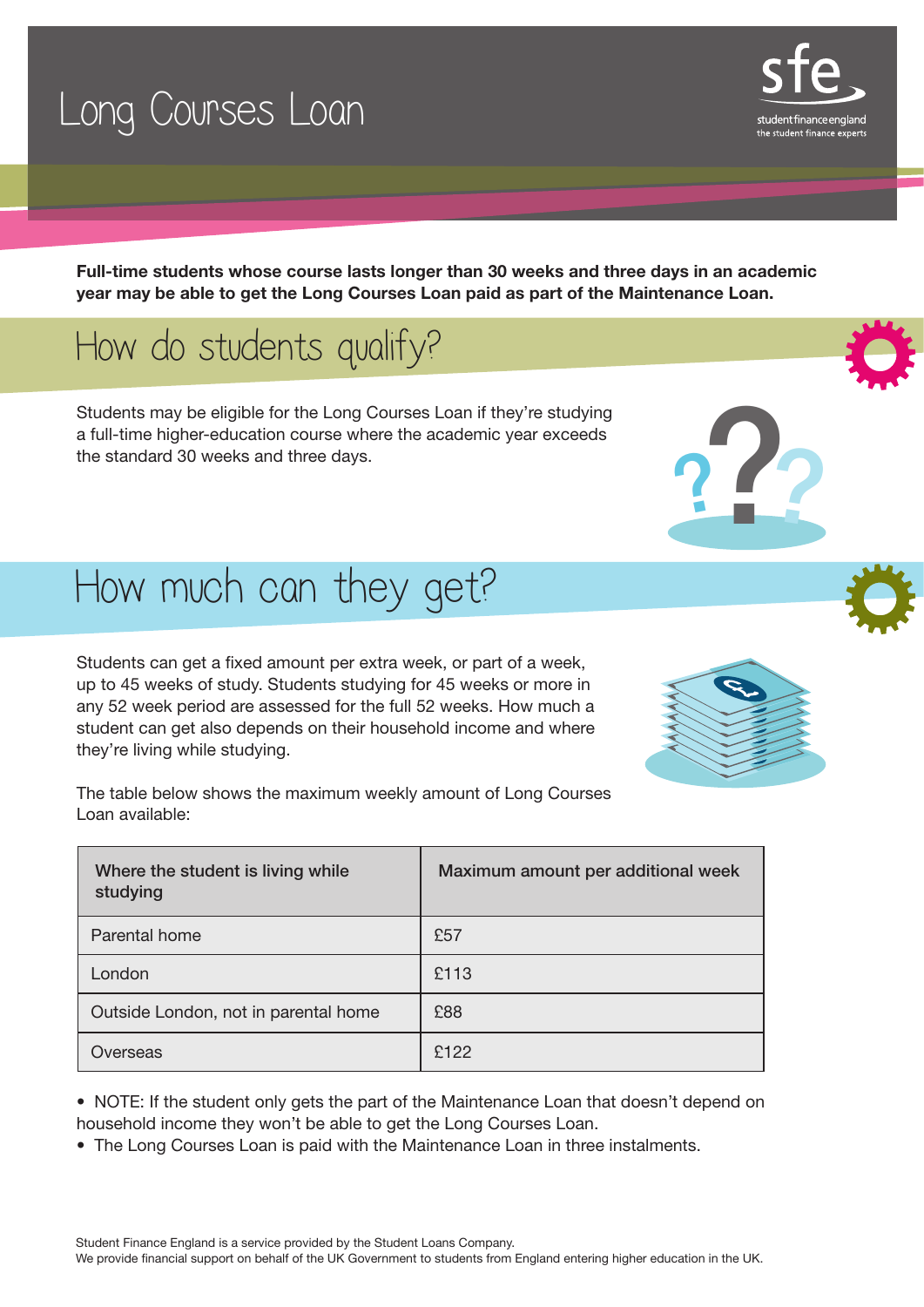## Long Courses Loan

Full-time students whose course lasts longer than 30 weeks and three days in an academic year may be able to get the Long Courses Loan paid as part of the Maintenance Loan.

### How do students qualify?

Students may be eligible for the Long Courses Loan if they're studying a full-time higher-education course where the academic year exceeds the standard 30 weeks and three days.

## How much can they get?

Students can get a fixed amount per extra week, or part of a week, up to 45 weeks of study. Students studying for 45 weeks or more in any 52 week period are assessed for the full 52 weeks. How much a student can get also depends on their household income and where they're living while studying.

The table below shows the maximum weekly amount of Long Courses Loan available:

| Where the student is living while<br>studying | Maximum amount per additional week |
|-----------------------------------------------|------------------------------------|
| Parental home                                 | £57                                |
| London                                        | £113                               |
| Outside London, not in parental home          | £88                                |
| Overseas                                      | £122                               |

• NOTE: If the student only gets the part of the Maintenance Loan that doesn't depend on household income they won't be able to get the Long Courses Loan.

• The Long Courses Loan is paid with the Maintenance Loan in three instalments.



???





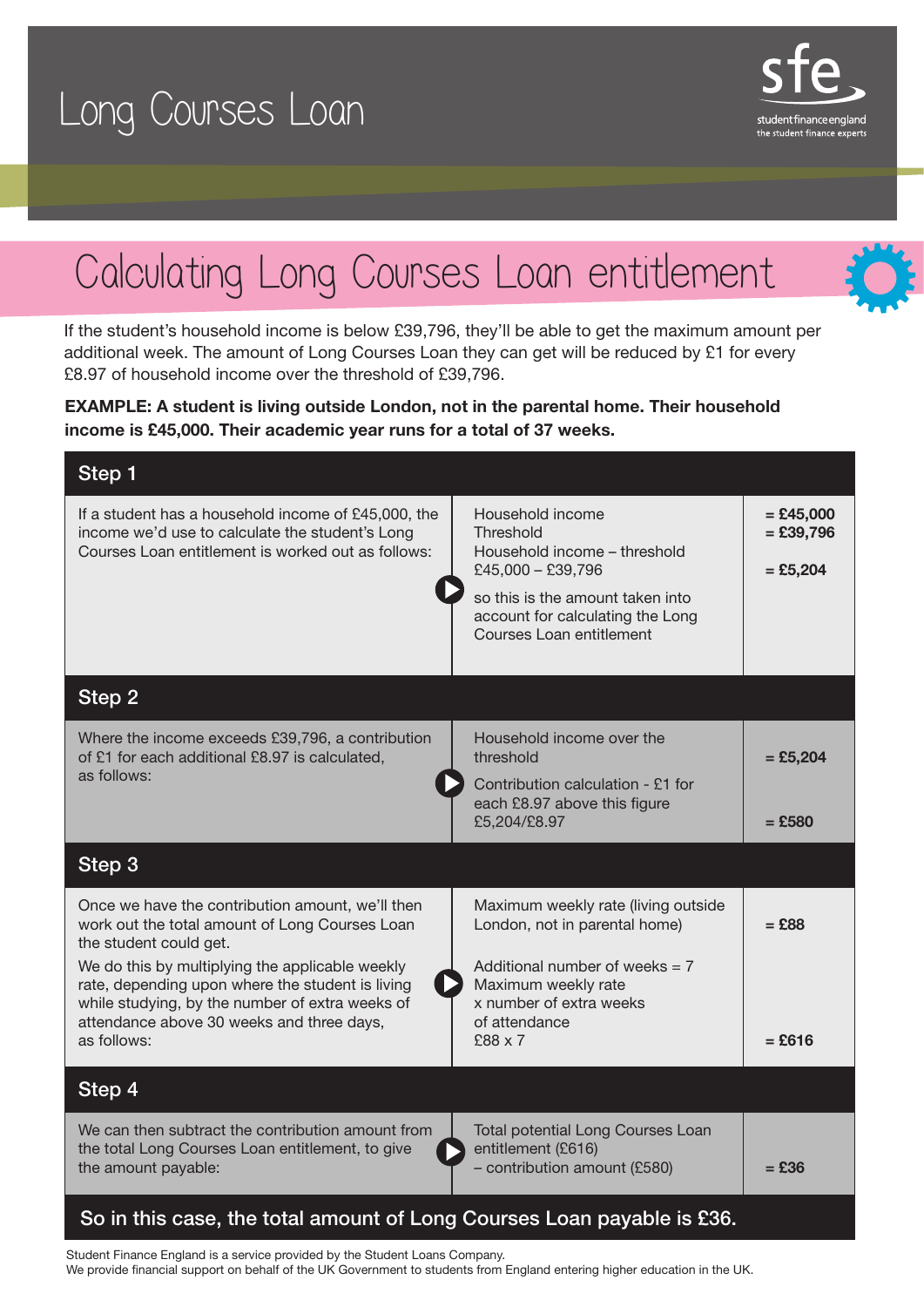



If the student's household income is below £39,796, they'll be able to get the maximum amount per additional week. The amount of Long Courses Loan they can get will be reduced by £1 for every £8.97 of household income over the threshold of £39,796.

student finance englanc the student finance expert-

### EXAMPLE: A student is living outside London, not in the parental home. Their household income is £45,000. Their academic year runs for a total of 37 weeks.

| Step 1                                                                                                                                                       |                                                                                                                                                            |                                          |
|--------------------------------------------------------------------------------------------------------------------------------------------------------------|------------------------------------------------------------------------------------------------------------------------------------------------------------|------------------------------------------|
| If a student has a household income of £45,000, the<br>income we'd use to calculate the student's Long<br>Courses Loan entitlement is worked out as follows: | Household income<br>Threshold<br>Household income - threshold<br>£45,000 - £39,796<br>so this is the amount taken into<br>account for calculating the Long | $=$ £45,000<br>$=$ £39,796<br>$=$ £5,204 |
|                                                                                                                                                              | Courses Loan entitlement                                                                                                                                   |                                          |
| Step 2                                                                                                                                                       |                                                                                                                                                            |                                          |
| Where the income exceeds £39,796, a contribution<br>of £1 for each additional £8.97 is calculated,<br>as follows:                                            | Household income over the<br>threshold                                                                                                                     | $=$ £5,204                               |
|                                                                                                                                                              | Contribution calculation - £1 for<br>each £8.97 above this figure<br>£5,204/£8.97                                                                          | $=$ £580                                 |
| Step 3                                                                                                                                                       |                                                                                                                                                            |                                          |
| Once we have the contribution amount, we'll then<br>work out the total amount of Long Courses Loan<br>the student could get.                                 | Maximum weekly rate (living outside<br>London, not in parental home)                                                                                       | $=$ £88                                  |
| We do this by multiplying the applicable weekly<br>rate, depending upon where the student is living<br>while studying, by the number of extra weeks of       | Additional number of weeks $= 7$<br>Maximum weekly rate<br>x number of extra weeks                                                                         |                                          |
| attendance above 30 weeks and three days,<br>as follows:                                                                                                     | of attendance<br>£88 x 7                                                                                                                                   | $=$ £616                                 |
| Step 4                                                                                                                                                       |                                                                                                                                                            |                                          |
| We can then subtract the contribution amount from<br>the total Long Courses Loan entitlement, to give<br>the amount payable:                                 | Total potential Long Courses Loan<br>entitlement (£616)<br>- contribution amount (£580)                                                                    | $=$ £36                                  |
| So in this case, the total amount of Long Courses Loan payable is £36.                                                                                       |                                                                                                                                                            |                                          |

Student Finance England is a service provided by the Student Loans Company. We provide financial support on behalf of the UK Government to students from England entering higher education in the UK.